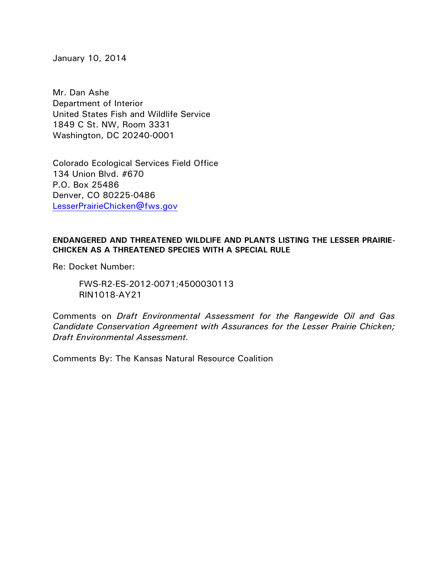January 10, 2014

Mr. Dan Ashe Department of Interior United States Fish and Wildlife Service 1849 C St. NW, Room 3331 Washington, DC 20240-0001

Colorado Ecological Services Field Office 134 Union Blvd. #670 P.O. Box 25486 Denver, CO 80225-0486 [LesserPrairieChicken@fws.gov](mailto:LesserPrairieChicken@fws.gov)

## **ENDANGERED AND THREATENED WILDLIFE AND PLANTS LISTING THE LESSER PRAIRIE-CHICKEN AS A THREATENED SPECIES WITH A SPECIAL RULE**

Re: Docket Number:

FWS-R2-ES-2012-0071;4500030113 RIN1018-AY21

Comments on *Draft Environmental Assessment for the Rangewide Oil and Gas Candidate Conservation Agreement with Assurances for the Lesser Prairie Chicken; Draft Environmental Assessment.*

Comments By: The Kansas Natural Resource Coalition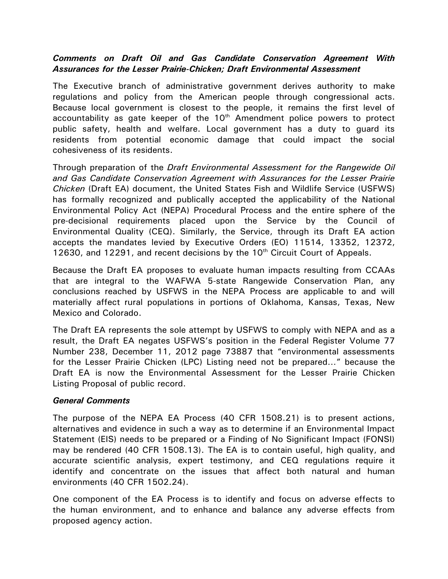## *Comments on Draft Oil and Gas Candidate Conservation Agreement With Assurances for the Lesser Prairie-Chicken; Draft Environmental Assessment*

The Executive branch of administrative government derives authority to make regulations and policy from the American people through congressional acts. Because local government is closest to the people, it remains the first level of accountability as gate keeper of the  $10<sup>th</sup>$  Amendment police powers to protect public safety, health and welfare. Local government has a duty to guard its residents from potential economic damage that could impact the social cohesiveness of its residents.

Through preparation of the *Draft Environmental Assessment for the Rangewide Oil and Gas Candidate Conservation Agreement with Assurances for the Lesser Prairie Chicken* (Draft EA) document, the United States Fish and Wildlife Service (USFWS) has formally recognized and publically accepted the applicability of the National Environmental Policy Act (NEPA) Procedural Process and the entire sphere of the pre-decisional requirements placed upon the Service by the Council of Environmental Quality (CEQ). Similarly, the Service, through its Draft EA action accepts the mandates levied by Executive Orders (EO) 11514, 13352, 12372, 12630, and 12291, and recent decisions by the  $10<sup>th</sup>$  Circuit Court of Appeals.

Because the Draft EA proposes to evaluate human impacts resulting from CCAAs that are integral to the WAFWA 5-state Rangewide Conservation Plan, any conclusions reached by USFWS in the NEPA Process are applicable to and will materially affect rural populations in portions of Oklahoma, Kansas, Texas, New Mexico and Colorado.

The Draft EA represents the sole attempt by USFWS to comply with NEPA and as a result, the Draft EA negates USFWS's position in the Federal Register Volume 77 Number 238, December 11, 2012 page 73887 that "environmental assessments for the Lesser Prairie Chicken (LPC) Listing need not be prepared…" because the Draft EA is now the Environmental Assessment for the Lesser Prairie Chicken Listing Proposal of public record.

## *General Comments*

The purpose of the NEPA EA Process (40 CFR 1508.21) is to present actions, alternatives and evidence in such a way as to determine if an Environmental Impact Statement (EIS) needs to be prepared or a Finding of No Significant Impact (FONSI) may be rendered (40 CFR 1508.13). The EA is to contain useful, high quality, and accurate scientific analysis, expert testimony, and CEQ regulations require it identify and concentrate on the issues that affect both natural and human environments (40 CFR 1502.24).

One component of the EA Process is to identify and focus on adverse effects to the human environment, and to enhance and balance any adverse effects from proposed agency action.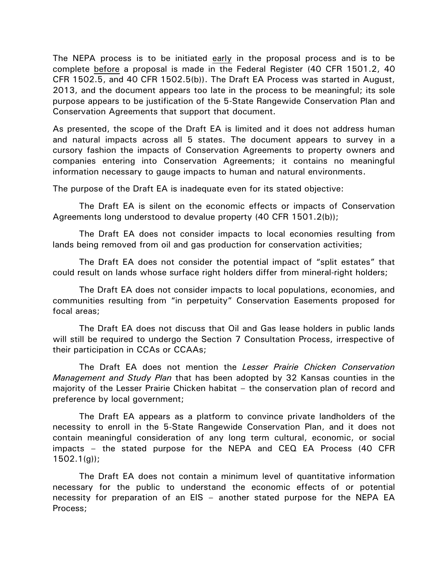The NEPA process is to be initiated early in the proposal process and is to be complete before a proposal is made in the Federal Register (40 CFR 1501.2, 40 CFR 1502.5, and 40 CFR 1502.5(b)). The Draft EA Process was started in August, 2013, and the document appears too late in the process to be meaningful; its sole purpose appears to be justification of the 5-State Rangewide Conservation Plan and Conservation Agreements that support that document.

As presented, the scope of the Draft EA is limited and it does not address human and natural impacts across all 5 states. The document appears to survey in a cursory fashion the impacts of Conservation Agreements to property owners and companies entering into Conservation Agreements; it contains no meaningful information necessary to gauge impacts to human and natural environments.

The purpose of the Draft EA is inadequate even for its stated objective:

The Draft EA is silent on the economic effects or impacts of Conservation Agreements long understood to devalue property (40 CFR 1501.2(b));

The Draft EA does not consider impacts to local economies resulting from lands being removed from oil and gas production for conservation activities;

The Draft EA does not consider the potential impact of "split estates" that could result on lands whose surface right holders differ from mineral-right holders;

The Draft EA does not consider impacts to local populations, economies, and communities resulting from "in perpetuity" Conservation Easements proposed for focal areas;

The Draft EA does not discuss that Oil and Gas lease holders in public lands will still be required to undergo the Section 7 Consultation Process, irrespective of their participation in CCAs or CCAAs;

The Draft EA does not mention the *Lesser Prairie Chicken Conservation Management and Study Plan* that has been adopted by 32 Kansas counties in the majority of the Lesser Prairie Chicken habitat – the conservation plan of record and preference by local government;

The Draft EA appears as a platform to convince private landholders of the necessity to enroll in the 5-State Rangewide Conservation Plan, and it does not contain meaningful consideration of any long term cultural, economic, or social impacts – the stated purpose for the NEPA and CEQ EA Process (40 CFR  $1502.1(q)$ ;

The Draft EA does not contain a minimum level of quantitative information necessary for the public to understand the economic effects of or potential necessity for preparation of an EIS – another stated purpose for the NEPA EA Process;